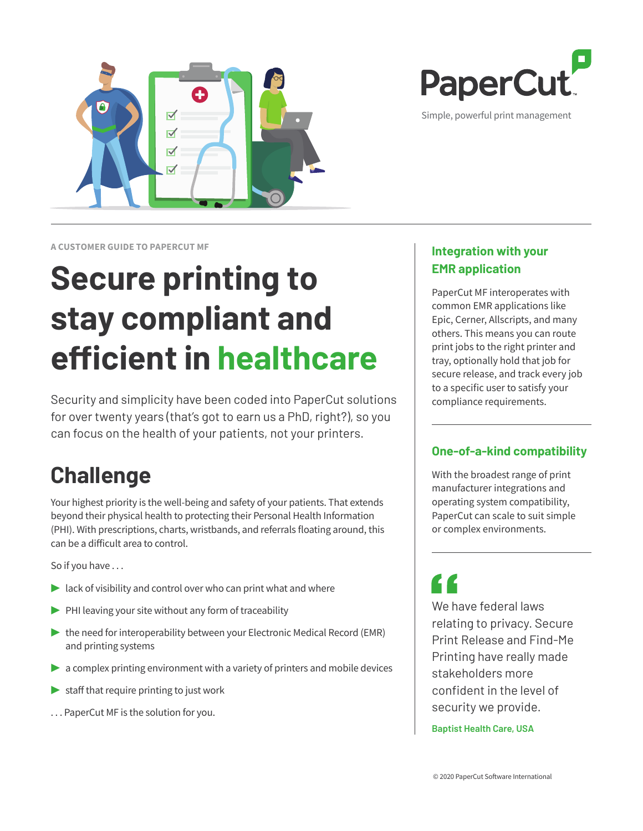

Simple, powerful print management

**A CUSTOMER GUIDE TO PAPERCUT MF** 

 $\blacktriangledown$  $\blacktriangledown$  $\overline{\mathsf{v}}$ 

# **Secure printing to stay compliant and effi cient in healthcare**

Security and simplicity have been coded into PaperCut solutions for over twenty years (that's got to earn us a PhD, right?), so you can focus on the health of your patients, not your printers.

# **Challenge**

Your highest priority is the well-being and safety of your patients. That extends beyond their physical health to protecting their Personal Health Information (PHI). With prescriptions, charts, wristbands, and referrals floating around, this can be a difficult area to control.

So if you have . . .

- $\blacktriangleright$  lack of visibility and control over who can print what and where
- ▶ PHI leaving your site without any form of traceability
- $\blacktriangleright$  the need for interoperability between your Electronic Medical Record (EMR) and printing systems
- ▶ a complex printing environment with a variety of printers and mobile devices
- $\blacktriangleright$  staff that require printing to just work
- . . . PaperCut MF is the solution for you.

### **Integration with your EMR application**

PaperCut MF interoperates with common EMR applications like Epic, Cerner, Allscripts, and many others. This means you can route print jobs to the right printer and tray, optionally hold that job for secure release, and track every job to a specific user to satisfy your compliance requirements.

#### **One-of-a-kind compatibility**

With the broadest range of print manufacturer integrations and operating system compatibility, PaperCut can scale to suit simple or complex environments.

We have federal laws relating to privacy. Secure Print Release and Find-Me Printing have really made stakeholders more confident in the level of security we provide.

**Baptist Health Care, USA**